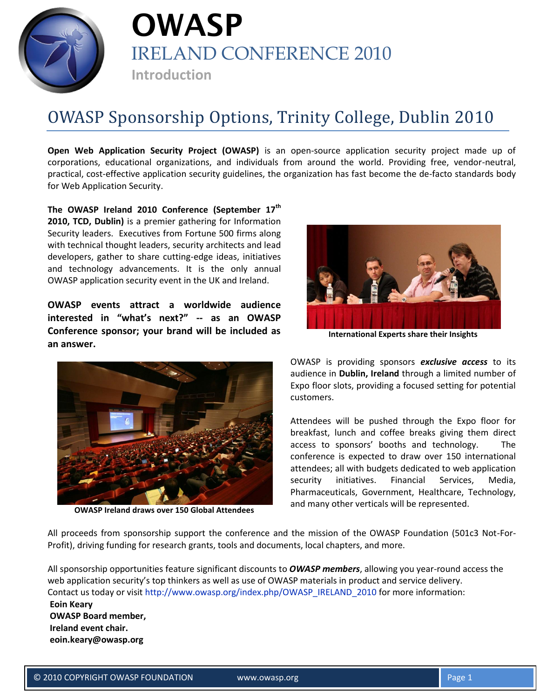



## OWASP Sponsorship Options, Trinity College, Dublin 2010

**Open Web Application Security Project (OWASP)** is an open-source application security project made up of corporations, educational organizations, and individuals from around the world. Providing free, vendor-neutral, practical, cost-effective application security guidelines, the organization has fast become the de-facto standards body for Web Application Security.

**The OWASP Ireland 2010 Conference (September 17th 2010, TCD, Dublin)** is a premier gathering for Information Security leaders.Executives from Fortune 500 firms along with technical thought leaders, security architects and lead developers, gather to share cutting-edge ideas, initiatives and technology advancements. It is the only annual OWASP application security event in the UK and Ireland.

**OWASP events attract a worldwide audience interested in "what's next?" -- as an OWASP Conference sponsor; your brand will be included as an answer.**



**OWASP Ireland draws over 150 Global Attendees**



**International Experts share their Insights**

OWASP is providing sponsors *exclusive access* to its audience in **Dublin, Ireland** through a limited number of Expo floor slots, providing a focused setting for potential customers.

Attendees will be pushed through the Expo floor for breakfast, lunch and coffee breaks giving them direct access to sponsors' booths and technology. The conference is expected to draw over 150 international attendees; all with budgets dedicated to web application security initiatives. Financial Services, Media, Pharmaceuticals, Government, Healthcare, Technology, and many other verticals will be represented.

All proceeds from sponsorship support the conference and the mission of the OWASP Foundation (501c3 Not-For-Profit), driving funding for research grants, tools and documents, local chapters, and more.

All sponsorship opportunities feature significant discounts to *OWASP members*, allowing you year-round access the web application security's top thinkers as well as use of OWASP materials in product and service delivery. Contact us today or visit [http://www.owasp.org/index.php/OWASP\\_IRELAND\\_2010](http://www.owasp.org/index.php/OWASP_IRELAND_2010) for more information: **Eoin Keary OWASP Board member, Ireland event chair. eoin.keary@owasp.org**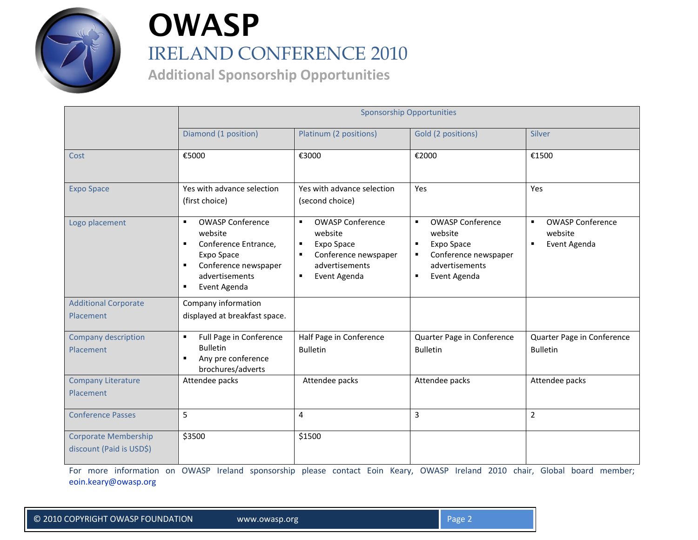

# **OWASP** IRELAND CONFERENCE 2010

**Additional Sponsorship Opportunities** 

|                                                         | <b>Sponsorship Opportunities</b>                                                                                                                                                                           |                                                                                                                                                                                    |                                                                                                                                                                       |                                                         |  |
|---------------------------------------------------------|------------------------------------------------------------------------------------------------------------------------------------------------------------------------------------------------------------|------------------------------------------------------------------------------------------------------------------------------------------------------------------------------------|-----------------------------------------------------------------------------------------------------------------------------------------------------------------------|---------------------------------------------------------|--|
|                                                         | Diamond (1 position)                                                                                                                                                                                       | Platinum (2 positions)                                                                                                                                                             | Gold (2 positions)                                                                                                                                                    | Silver                                                  |  |
| Cost                                                    | €5000                                                                                                                                                                                                      | €3000                                                                                                                                                                              | €2000                                                                                                                                                                 | €1500                                                   |  |
| <b>Expo Space</b>                                       | Yes with advance selection<br>(first choice)                                                                                                                                                               | Yes with advance selection<br>(second choice)                                                                                                                                      | Yes                                                                                                                                                                   | Yes                                                     |  |
| Logo placement                                          | <b>OWASP Conference</b><br>$\blacksquare$<br>website<br>Conference Entrance,<br>$\blacksquare$<br>Expo Space<br>Conference newspaper<br>$\blacksquare$<br>advertisements<br>Event Agenda<br>$\blacksquare$ | <b>OWASP Conference</b><br>$\blacksquare$<br>website<br>Expo Space<br>$\blacksquare$<br>Conference newspaper<br>$\blacksquare$<br>advertisements<br>Event Agenda<br>$\blacksquare$ | <b>OWASP Conference</b><br>$\blacksquare$<br>website<br>Expo Space<br>$\blacksquare$<br>Conference newspaper<br>$\blacksquare$<br>advertisements<br>Event Agenda<br>٠ | <b>OWASP Conference</b><br>٠<br>website<br>Event Agenda |  |
| <b>Additional Corporate</b><br>Placement                | Company information<br>displayed at breakfast space.                                                                                                                                                       |                                                                                                                                                                                    |                                                                                                                                                                       |                                                         |  |
| Company description<br>Placement                        | Full Page in Conference<br>$\blacksquare$<br><b>Bulletin</b><br>Any pre conference<br>$\blacksquare$<br>brochures/adverts                                                                                  | Half Page in Conference<br><b>Bulletin</b>                                                                                                                                         | Quarter Page in Conference<br><b>Bulletin</b>                                                                                                                         | Quarter Page in Conference<br><b>Bulletin</b>           |  |
| <b>Company Literature</b><br><b>Placement</b>           | Attendee packs                                                                                                                                                                                             | Attendee packs                                                                                                                                                                     | Attendee packs                                                                                                                                                        | Attendee packs                                          |  |
| <b>Conference Passes</b>                                | 5                                                                                                                                                                                                          | 4                                                                                                                                                                                  | 3                                                                                                                                                                     | $\overline{2}$                                          |  |
| <b>Corporate Membership</b><br>discount (Paid is USD\$) | \$3500                                                                                                                                                                                                     | \$1500                                                                                                                                                                             |                                                                                                                                                                       |                                                         |  |

For more information on OWASP Ireland sponsorship please contact Eoin Keary, OWASP Ireland 2010 chair, Global board member; [eoin.keary@owasp.org](mailto:eoin.keary@owasp.org)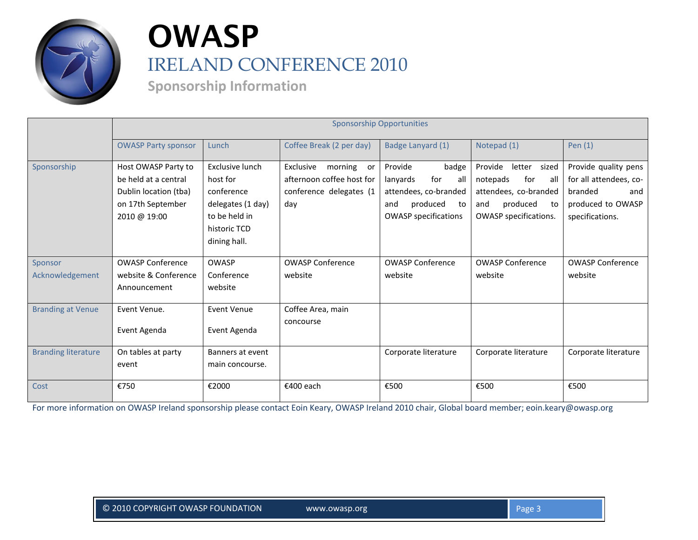

# **OWASP** IRELAND CONFERENCE 2010

**Sponsorship Information**

|                            | <b>Sponsorship Opportunities</b>                                                                          |                                                                                                                 |                                                                                           |                                                                                                                             |                                                                                                                              |                                                                                                          |
|----------------------------|-----------------------------------------------------------------------------------------------------------|-----------------------------------------------------------------------------------------------------------------|-------------------------------------------------------------------------------------------|-----------------------------------------------------------------------------------------------------------------------------|------------------------------------------------------------------------------------------------------------------------------|----------------------------------------------------------------------------------------------------------|
|                            | <b>OWASP Party sponsor</b>                                                                                | Lunch                                                                                                           | Coffee Break (2 per day)                                                                  | Badge Lanyard (1)                                                                                                           | Notepad (1)                                                                                                                  | Pen $(1)$                                                                                                |
| Sponsorship                | Host OWASP Party to<br>be held at a central<br>Dublin location (tba)<br>on 17th September<br>2010 @ 19:00 | Exclusive lunch<br>host for<br>conference<br>delegates (1 day)<br>to be held in<br>historic TCD<br>dining hall. | Exclusive<br>morning<br>or<br>afternoon coffee host for<br>conference delegates (1<br>day | Provide<br>badge<br>for<br>all<br>lanyards<br>attendees, co-branded<br>produced<br>and<br>to<br><b>OWASP specifications</b> | Provide<br>letter sized<br>for<br>notepads<br>all<br>attendees, co-branded<br>produced<br>and<br>to<br>OWASP specifications. | Provide quality pens<br>for all attendees, co-<br>branded<br>and<br>produced to OWASP<br>specifications. |
| Sponsor<br>Acknowledgement | <b>OWASP Conference</b><br>website & Conference<br>Announcement                                           | <b>OWASP</b><br>Conference<br>website                                                                           | <b>OWASP Conference</b><br>website                                                        | <b>OWASP Conference</b><br>website                                                                                          | <b>OWASP Conference</b><br>website                                                                                           | <b>OWASP Conference</b><br>website                                                                       |
| <b>Branding at Venue</b>   | Event Venue.<br>Event Agenda                                                                              | Event Venue<br>Event Agenda                                                                                     | Coffee Area, main<br>concourse                                                            |                                                                                                                             |                                                                                                                              |                                                                                                          |
| <b>Branding literature</b> | On tables at party<br>event                                                                               | Banners at event<br>main concourse.                                                                             |                                                                                           | Corporate literature                                                                                                        | Corporate literature                                                                                                         | Corporate literature                                                                                     |
| Cost                       | €750                                                                                                      | €2000                                                                                                           | €400 each                                                                                 | €500                                                                                                                        | €500                                                                                                                         | €500                                                                                                     |

For more information on OWASP Ireland sponsorship please contact Eoin Keary, OWASP Ireland 2010 chair, Global board member; eoin.keary@owasp.org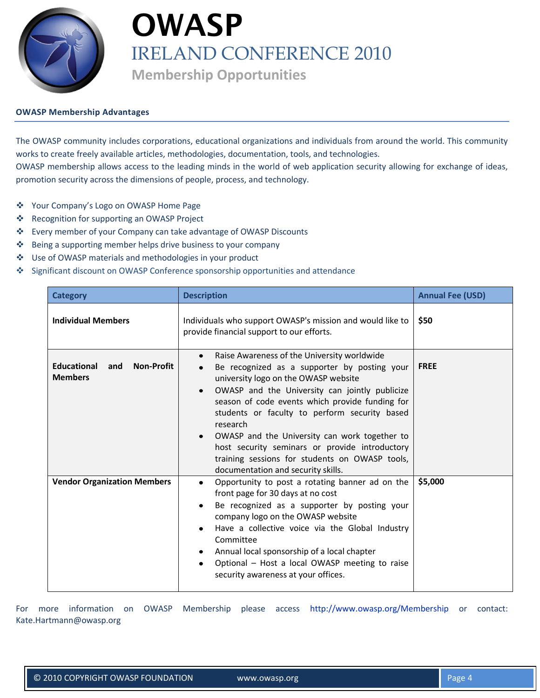

# **OWASP** IRELAND CONFERENCE 2010 **Membership Opportunities**

#### **OWASP Membership Advantages**

The OWASP community includes corporations, educational organizations and individuals from around the world. This community works to create freely available articles, methodologies, documentation, tools, and technologies. OWASP membership allows access to the leading minds in the world of web application security allowing for exchange of ideas,

promotion security across the dimensions of people, process, and technology.

- Your Company's Logo on OWASP Home Page
- ❖ Recognition for supporting an OWASP Project
- Every member of your Company can take advantage of OWASP Discounts
- ❖ Being a supporting member helps drive business to your company
- Use of OWASP materials and methodologies in your product
- Significant discount on OWASP Conference sponsorship opportunities and attendance

| <b>Category</b>                                                  | <b>Description</b>                                                                                                                                                                                                                                                                                                                                                                                                                                                                                                                      | <b>Annual Fee (USD)</b> |
|------------------------------------------------------------------|-----------------------------------------------------------------------------------------------------------------------------------------------------------------------------------------------------------------------------------------------------------------------------------------------------------------------------------------------------------------------------------------------------------------------------------------------------------------------------------------------------------------------------------------|-------------------------|
| <b>Individual Members</b>                                        | Individuals who support OWASP's mission and would like to<br>provide financial support to our efforts.                                                                                                                                                                                                                                                                                                                                                                                                                                  | \$50                    |
| <b>Educational</b><br><b>Non-Profit</b><br>and<br><b>Members</b> | Raise Awareness of the University worldwide<br>$\bullet$<br>Be recognized as a supporter by posting your<br>university logo on the OWASP website<br>OWASP and the University can jointly publicize<br>$\bullet$<br>season of code events which provide funding for<br>students or faculty to perform security based<br>research<br>OWASP and the University can work together to<br>$\bullet$<br>host security seminars or provide introductory<br>training sessions for students on OWASP tools,<br>documentation and security skills. | <b>FREE</b>             |
| <b>Vendor Organization Members</b>                               | Opportunity to post a rotating banner ad on the<br>$\bullet$<br>front page for 30 days at no cost<br>Be recognized as a supporter by posting your<br>$\bullet$<br>company logo on the OWASP website<br>Have a collective voice via the Global Industry<br>$\bullet$<br>Committee<br>Annual local sponsorship of a local chapter<br>٠<br>Optional - Host a local OWASP meeting to raise<br>$\bullet$<br>security awareness at your offices.                                                                                              | \$5,000                 |

For more information on OWASP Membership please access <http://www.owasp.org/Membership> or contact: Kate.Hartmann@owasp.org